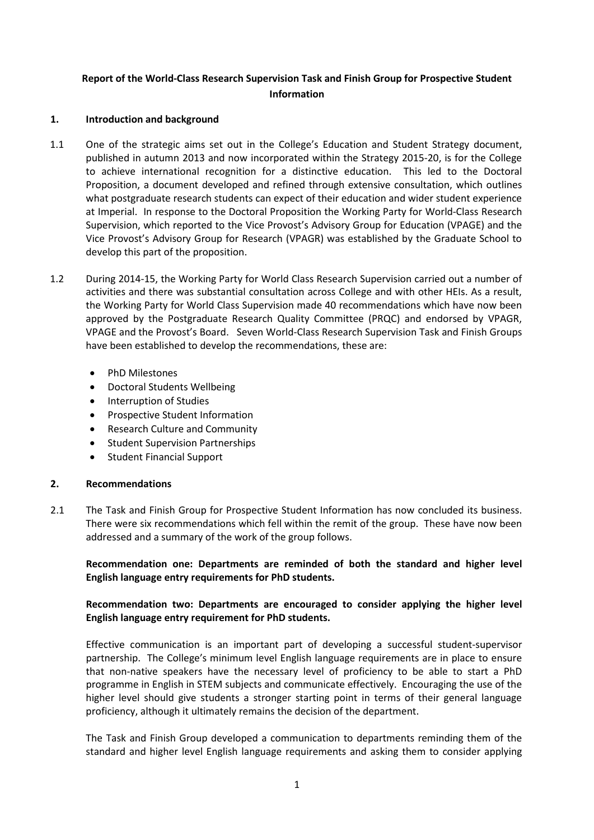# **Report of the World-Class Research Supervision Task and Finish Group for Prospective Student Information**

### **1. Introduction and background**

- 1.1 One of the strategic aims set out in the College's Education and Student Strategy document, published in autumn 2013 and now incorporated within the Strategy 2015-20, is for the College to achieve international recognition for a distinctive education. This led to the Doctoral Proposition, a document developed and refined through extensive consultation, which outlines what postgraduate research students can expect of their education and wider student experience at Imperial. In response to the Doctoral Proposition the Working Party for World-Class Research Supervision, which reported to the Vice Provost's Advisory Group for Education (VPAGE) and the Vice Provost's Advisory Group for Research (VPAGR) was established by the Graduate School to develop this part of the proposition.
- 1.2 During 2014-15, the Working Party for World Class Research Supervision carried out a number of activities and there was substantial consultation across College and with other HEIs. As a result, the Working Party for World Class Supervision made 40 recommendations which have now been approved by the Postgraduate Research Quality Committee (PRQC) and endorsed by VPAGR, VPAGE and the Provost's Board. Seven World-Class Research Supervision Task and Finish Groups have been established to develop the recommendations, these are:
	- PhD Milestones
	- Doctoral Students Wellbeing
	- Interruption of Studies
	- Prospective Student Information
	- Research Culture and Community
	- Student Supervision Partnerships
	- Student Financial Support

# **2. Recommendations**

2.1 The Task and Finish Group for Prospective Student Information has now concluded its business. There were six recommendations which fell within the remit of the group. These have now been addressed and a summary of the work of the group follows.

**Recommendation one: Departments are reminded of both the standard and higher level English language entry requirements for PhD students.**

# **Recommendation two: Departments are encouraged to consider applying the higher level English language entry requirement for PhD students.**

Effective communication is an important part of developing a successful student-supervisor partnership. The College's minimum level English language requirements are in place to ensure that non-native speakers have the necessary level of proficiency to be able to start a PhD programme in English in STEM subjects and communicate effectively. Encouraging the use of the higher level should give students a stronger starting point in terms of their general language proficiency, although it ultimately remains the decision of the department.

The Task and Finish Group developed a communication to departments reminding them of the standard and higher level English language requirements and asking them to consider applying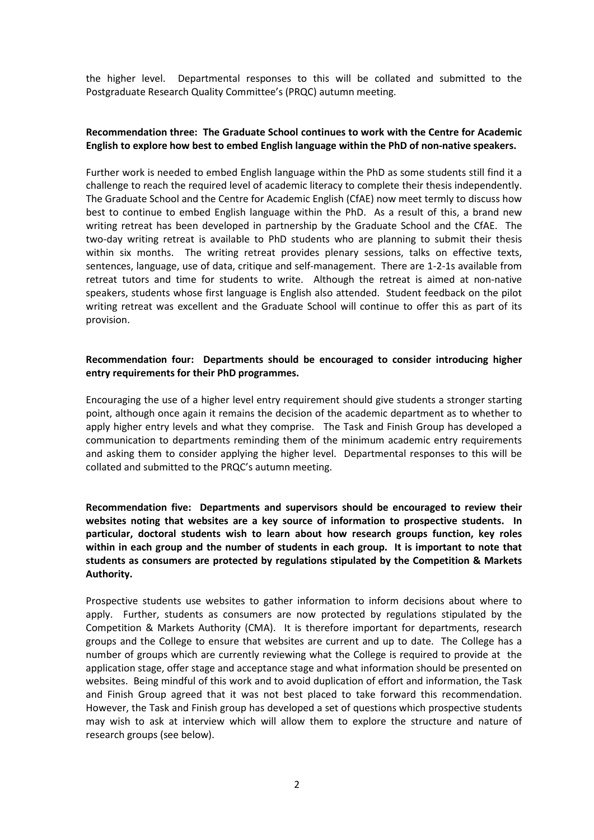the higher level. Departmental responses to this will be collated and submitted to the Postgraduate Research Quality Committee's (PRQC) autumn meeting.

#### **Recommendation three: The Graduate School continues to work with the Centre for Academic English to explore how best to embed English language within the PhD of non-native speakers.**

Further work is needed to embed English language within the PhD as some students still find it a challenge to reach the required level of academic literacy to complete their thesis independently. The Graduate School and the Centre for Academic English (CfAE) now meet termly to discuss how best to continue to embed English language within the PhD. As a result of this, a brand new writing retreat has been developed in partnership by the Graduate School and the CfAE. The two-day writing retreat is available to PhD students who are planning to submit their thesis within six months. The writing retreat provides plenary sessions, talks on effective texts, sentences, language, use of data, critique and self-management. There are 1-2-1s available from retreat tutors and time for students to write. Although the retreat is aimed at non-native speakers, students whose first language is English also attended. Student feedback on the pilot writing retreat was excellent and the Graduate School will continue to offer this as part of its provision.

### **Recommendation four: Departments should be encouraged to consider introducing higher entry requirements for their PhD programmes.**

Encouraging the use of a higher level entry requirement should give students a stronger starting point, although once again it remains the decision of the academic department as to whether to apply higher entry levels and what they comprise. The Task and Finish Group has developed a communication to departments reminding them of the minimum academic entry requirements and asking them to consider applying the higher level. Departmental responses to this will be collated and submitted to the PRQC's autumn meeting.

**Recommendation five: Departments and supervisors should be encouraged to review their websites noting that websites are a key source of information to prospective students. In particular, doctoral students wish to learn about how research groups function, key roles within in each group and the number of students in each group. It is important to note that students as consumers are protected by regulations stipulated by the Competition & Markets Authority.** 

Prospective students use websites to gather information to inform decisions about where to apply. Further, students as consumers are now protected by regulations stipulated by the Competition & Markets Authority (CMA). It is therefore important for departments, research groups and the College to ensure that websites are current and up to date. The College has a number of groups which are currently reviewing what the College is required to provide at the application stage, offer stage and acceptance stage and what information should be presented on websites. Being mindful of this work and to avoid duplication of effort and information, the Task and Finish Group agreed that it was not best placed to take forward this recommendation. However, the Task and Finish group has developed a set of questions which prospective students may wish to ask at interview which will allow them to explore the structure and nature of research groups (see below).